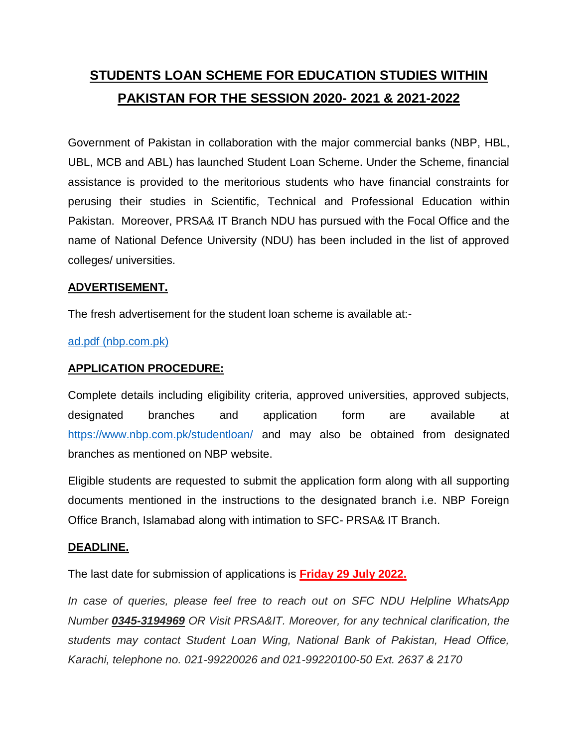# **STUDENTS LOAN SCHEME FOR EDUCATION STUDIES WITHIN PAKISTAN FOR THE SESSION 2020- 2021 & 2021-2022**

Government of Pakistan in collaboration with the major commercial banks (NBP, HBL, UBL, MCB and ABL) has launched Student Loan Scheme. Under the Scheme, financial assistance is provided to the meritorious students who have financial constraints for perusing their studies in Scientific, Technical and Professional Education within Pakistan. Moreover, PRSA& IT Branch NDU has pursued with the Focal Office and the name of National Defence University (NDU) has been included in the list of approved colleges/ universities.

## **ADVERTISEMENT.**

The fresh advertisement for the student loan scheme is available at:-

#### [ad.pdf \(nbp.com.pk\)](https://www.nbp.com.pk/SLFiles/ad.pdf)

## **APPLICATION PROCEDURE:**

Complete details including eligibility criteria, approved universities, approved subjects, designated branches and application form are available at <https://www.nbp.com.pk/studentloan/> and may also be obtained from designated branches as mentioned on NBP website.

Eligible students are requested to submit the application form along with all supporting documents mentioned in the instructions to the designated branch i.e. NBP Foreign Office Branch, Islamabad along with intimation to SFC- PRSA& IT Branch.

#### **DEADLINE.**

The last date for submission of applications is **Friday 29 July 2022.**

*In case of queries, please feel free to reach out on SFC NDU Helpline WhatsApp Number 0345-3194969 OR Visit PRSA&IT. Moreover, for any technical clarification, the students may contact Student Loan Wing, National Bank of Pakistan, Head Office, Karachi, telephone no. 021-99220026 and 021-99220100-50 Ext. 2637 & 2170*